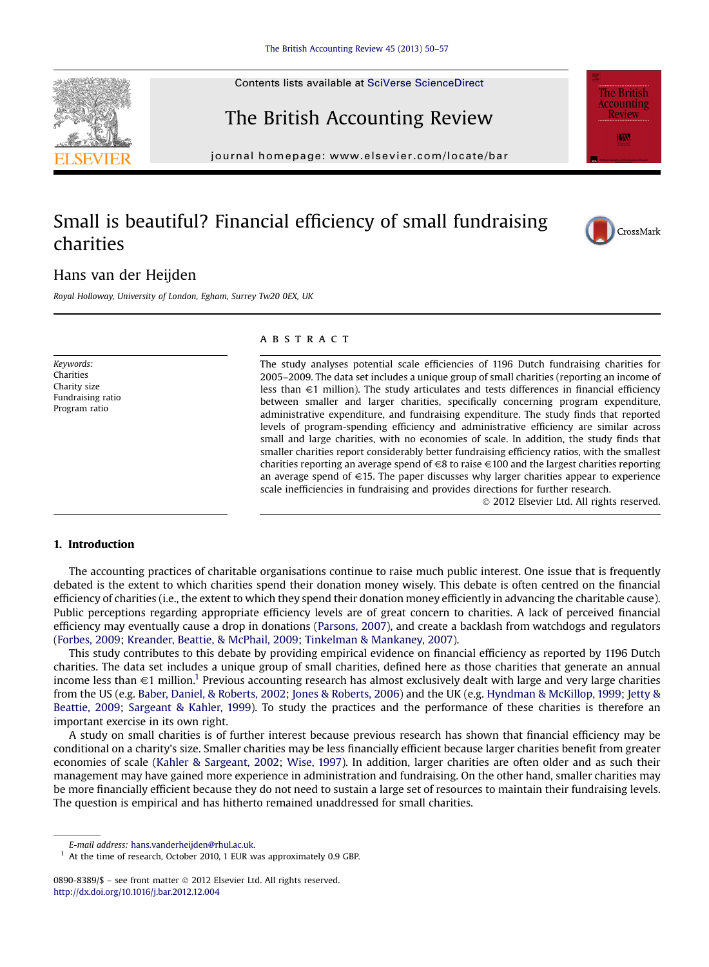# The British Accounting Review

 $j<sub>0</sub>$ 

### Small is beautiful? Financial efficiency of small fundraising charities

### Hans van der Heijden

Royal Holloway, University of London, Egham, Surrey Tw20 0EX, UK

Keywords: Charities Charity size Fundraising ratio Program ratio

#### **ABSTRACT**

The study analyses potential scale efficiencies of 1196 Dutch fundraising charities for 2005–2009. The data set includes a unique group of small charities (reporting an income of less than  $\in$ 1 million). The study articulates and tests differences in financial efficiency between smaller and larger charities, specifically concerning program expenditure, administrative expenditure, and fundraising expenditure. The study finds that reported levels of program-spending efficiency and administrative efficiency are similar across small and large charities, with no economies of scale. In addition, the study finds that smaller charities report considerably better fundraising efficiency ratios, with the smallest charities reporting an average spend of  $\in$ 8 to raise  $\in$ 100 and the largest charities reporting an average spend of  $\in$ 15. The paper discusses why larger charities appear to experience scale inefficiencies in fundraising and provides directions for further research.

2012 Elsevier Ltd. All rights reserved.

#### 1. Introduction

The accounting practices of charitable organisations continue to raise much public interest. One issue that is frequently debated is the extent to which charities spend their donation money wisely. This debate is often centred on the financial efficiency of charities (i.e., the extent to which they spend their donation money efficiently in advancing the charitable cause). Public perceptions regarding appropriate efficiency levels are of great concern to charities. A lack of perceived financial efficiency may eventually cause a drop in donations [\(Parsons, 2007\)](#page--1-0), and create a backlash from watchdogs and regulators [\(Forbes, 2009;](#page--1-0) [Kreander, Beattie, & McPhail, 2009](#page--1-0); [Tinkelman & Mankaney, 2007\)](#page--1-0).

This study contributes to this debate by providing empirical evidence on financial efficiency as reported by 1196 Dutch charities. The data set includes a unique group of small charities, defined here as those charities that generate an annual income less than  $\in$ 1 million.<sup>1</sup> Previous accounting research has almost exclusively dealt with large and very large charities from the US (e.g. [Baber, Daniel, & Roberts, 2002;](#page--1-0) [Jones & Roberts, 2006\)](#page--1-0) and the UK (e.g. [Hyndman & McKillop, 1999](#page--1-0); [Jetty &](#page--1-0) [Beattie, 2009](#page--1-0); [Sargeant & Kahler, 1999\)](#page--1-0). To study the practices and the performance of these charities is therefore an important exercise in its own right.

A study on small charities is of further interest because previous research has shown that financial efficiency may be conditional on a charity's size. Smaller charities may be less financially efficient because larger charities benefit from greater economies of scale [\(Kahler & Sargeant, 2002](#page--1-0); [Wise, 1997](#page--1-0)). In addition, larger charities are often older and as such their management may have gained more experience in administration and fundraising. On the other hand, smaller charities may be more financially efficient because they do not need to sustain a large set of resources to maintain their fundraising levels. The question is empirical and has hitherto remained unaddressed for small charities.







E-mail address: [hans.vanderheijden@rhul.ac.uk.](mailto:hans.vanderheijden@rhul.ac.uk)

<sup>&</sup>lt;sup>1</sup> At the time of research, October 2010, 1 EUR was approximately 0.9 GBP.

<sup>0890-8389/\$ -</sup> see front matter © 2012 Elsevier Ltd. All rights reserved. <http://dx.doi.org/10.1016/j.bar.2012.12.004>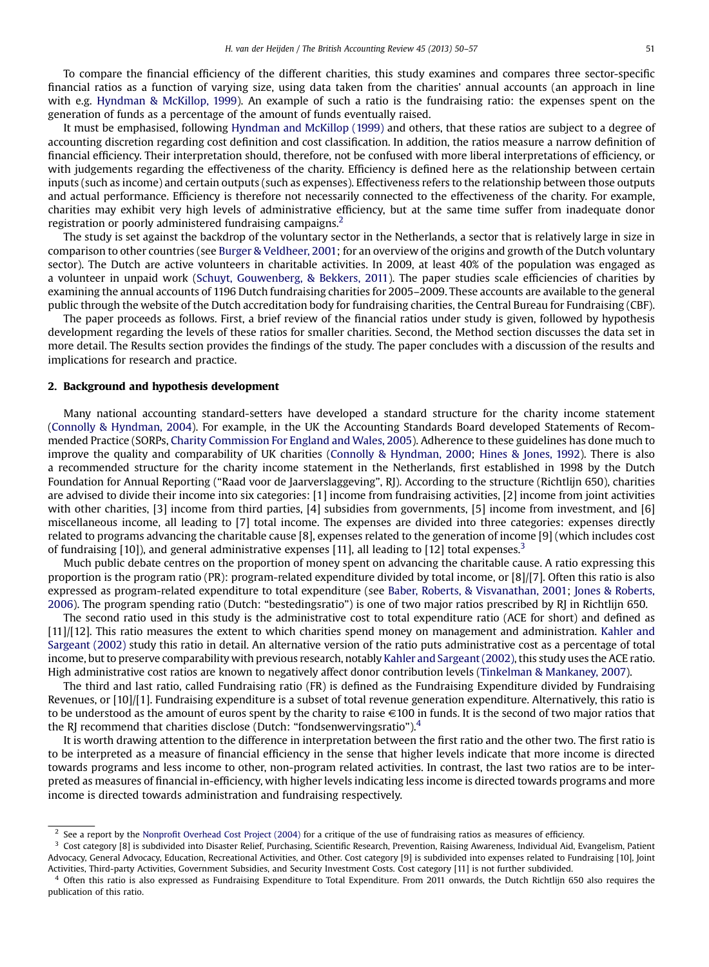To compare the financial efficiency of the different charities, this study examines and compares three sector-specific financial ratios as a function of varying size, using data taken from the charities' annual accounts (an approach in line with e.g. [Hyndman & McKillop, 1999](#page--1-0)). An example of such a ratio is the fundraising ratio: the expenses spent on the generation of funds as a percentage of the amount of funds eventually raised.

It must be emphasised, following [Hyndman and McKillop \(1999\)](#page--1-0) and others, that these ratios are subject to a degree of accounting discretion regarding cost definition and cost classification. In addition, the ratios measure a narrow definition of financial efficiency. Their interpretation should, therefore, not be confused with more liberal interpretations of efficiency, or with judgements regarding the effectiveness of the charity. Efficiency is defined here as the relationship between certain inputs (such as income) and certain outputs (such as expenses). Effectiveness refers to the relationship between those outputs and actual performance. Efficiency is therefore not necessarily connected to the effectiveness of the charity. For example, charities may exhibit very high levels of administrative efficiency, but at the same time suffer from inadequate donor registration or poorly administered fundraising campaigns.2

The study is set against the backdrop of the voluntary sector in the Netherlands, a sector that is relatively large in size in comparison to other countries (see [Burger & Veldheer, 2001;](#page--1-0) for an overview of the origins and growth of the Dutch voluntary sector). The Dutch are active volunteers in charitable activities. In 2009, at least 40% of the population was engaged as a volunteer in unpaid work [\(Schuyt, Gouwenberg, & Bekkers, 2011](#page--1-0)). The paper studies scale efficiencies of charities by examining the annual accounts of 1196 Dutch fundraising charities for 2005–2009. These accounts are available to the general public through the website of the Dutch accreditation body for fundraising charities, the Central Bureau for Fundraising (CBF).

The paper proceeds as follows. First, a brief review of the financial ratios under study is given, followed by hypothesis development regarding the levels of these ratios for smaller charities. Second, the Method section discusses the data set in more detail. The Results section provides the findings of the study. The paper concludes with a discussion of the results and implications for research and practice.

#### 2. Background and hypothesis development

Many national accounting standard-setters have developed a standard structure for the charity income statement ([Connolly & Hyndman, 2004](#page--1-0)). For example, in the UK the Accounting Standards Board developed Statements of Recommended Practice (SORPs, [Charity Commission For England and Wales, 2005\)](#page--1-0). Adherence to these guidelines has done much to improve the quality and comparability of UK charities ([Connolly & Hyndman, 2000](#page--1-0); [Hines & Jones, 1992\)](#page--1-0). There is also a recommended structure for the charity income statement in the Netherlands, first established in 1998 by the Dutch Foundation for Annual Reporting ("Raad voor de Jaarverslaggeving", RJ). According to the structure (Richtlijn 650), charities are advised to divide their income into six categories: [1] income from fundraising activities, [2] income from joint activities with other charities, [3] income from third parties, [4] subsidies from governments, [5] income from investment, and [6] miscellaneous income, all leading to [7] total income. The expenses are divided into three categories: expenses directly related to programs advancing the charitable cause [8], expenses related to the generation of income [9] (which includes cost of fundraising [10]), and general administrative expenses [11], all leading to [12] total expenses.<sup>3</sup>

Much public debate centres on the proportion of money spent on advancing the charitable cause. A ratio expressing this proportion is the program ratio (PR): program-related expenditure divided by total income, or [8]/[7]. Often this ratio is also expressed as program-related expenditure to total expenditure (see [Baber, Roberts, & Visvanathan, 2001;](#page--1-0) [Jones & Roberts,](#page--1-0) [2006](#page--1-0)). The program spending ratio (Dutch: "bestedingsratio") is one of two major ratios prescribed by RJ in Richtlijn 650.

The second ratio used in this study is the administrative cost to total expenditure ratio (ACE for short) and defined as [11]/[12]. This ratio measures the extent to which charities spend money on management and administration. [Kahler and](#page--1-0) [Sargeant \(2002\)](#page--1-0) study this ratio in detail. An alternative version of the ratio puts administrative cost as a percentage of total income, but to preserve comparability with previous research, notably [Kahler and Sargeant \(2002\)](#page--1-0), this study uses the ACE ratio. High administrative cost ratios are known to negatively affect donor contribution levels [\(Tinkelman & Mankaney, 2007\)](#page--1-0).

The third and last ratio, called Fundraising ratio (FR) is defined as the Fundraising Expenditure divided by Fundraising Revenues, or [10]/[1]. Fundraising expenditure is a subset of total revenue generation expenditure. Alternatively, this ratio is to be understood as the amount of euros spent by the charity to raise  $\in$ 100 in funds. It is the second of two major ratios that the RJ recommend that charities disclose (Dutch: "fondsenwervingsratio").<sup>4</sup>

It is worth drawing attention to the difference in interpretation between the first ratio and the other two. The first ratio is to be interpreted as a measure of financial efficiency in the sense that higher levels indicate that more income is directed towards programs and less income to other, non-program related activities. In contrast, the last two ratios are to be interpreted as measures of financial in-efficiency, with higher levels indicating less income is directed towards programs and more income is directed towards administration and fundraising respectively.

<sup>&</sup>lt;sup>2</sup> See a report by the Nonprofi[t Overhead Cost Project \(2004\)](#page--1-0) for a critique of the use of fundraising ratios as measures of efficiency.

<sup>3</sup> Cost category [8] is subdivided into Disaster Relief, Purchasing, Scientific Research, Prevention, Raising Awareness, Individual Aid, Evangelism, Patient Advocacy, General Advocacy, Education, Recreational Activities, and Other. Cost category [9] is subdivided into expenses related to Fundraising [10], Joint Activities, Third-party Activities, Government Subsidies, and Security Investment Costs. Cost category [11] is not further subdivided.

<sup>4</sup> Often this ratio is also expressed as Fundraising Expenditure to Total Expenditure. From 2011 onwards, the Dutch Richtlijn 650 also requires the publication of this ratio.